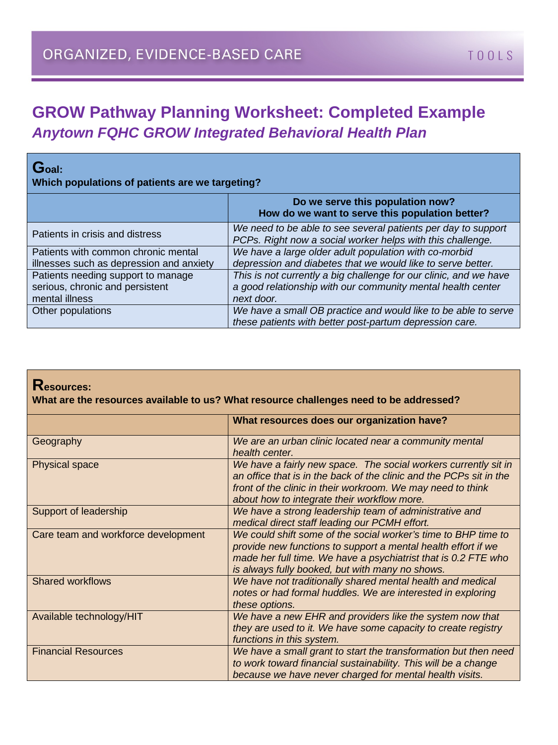## **GROW Pathway Planning Worksheet: Completed Example** *Anytown FQHC GROW Integrated Behavioral Health Plan*

| $\mathbf G$ oal:<br>Which populations of patients are we targeting?                     |                                                                                                                                                |  |  |
|-----------------------------------------------------------------------------------------|------------------------------------------------------------------------------------------------------------------------------------------------|--|--|
|                                                                                         | Do we serve this population now?<br>How do we want to serve this population better?                                                            |  |  |
| Patients in crisis and distress                                                         | We need to be able to see several patients per day to support<br>PCPs. Right now a social worker helps with this challenge.                    |  |  |
| Patients with common chronic mental<br>illnesses such as depression and anxiety         | We have a large older adult population with co-morbid<br>depression and diabetes that we would like to serve better.                           |  |  |
| Patients needing support to manage<br>serious, chronic and persistent<br>mental illness | This is not currently a big challenge for our clinic, and we have<br>a good relationship with our community mental health center<br>next door. |  |  |
| Other populations                                                                       | We have a small OB practice and would like to be able to serve<br>these patients with better post-partum depression care.                      |  |  |

## **Resources:**

**What are the resources available to us? What resource challenges need to be addressed?**

|                                     | What resources does our organization have?                                                                                                                                                                                                           |  |  |
|-------------------------------------|------------------------------------------------------------------------------------------------------------------------------------------------------------------------------------------------------------------------------------------------------|--|--|
| Geography                           | We are an urban clinic located near a community mental<br>health center.                                                                                                                                                                             |  |  |
| <b>Physical space</b>               | We have a fairly new space. The social workers currently sit in<br>an office that is in the back of the clinic and the PCPs sit in the<br>front of the clinic in their workroom. We may need to think<br>about how to integrate their workflow more. |  |  |
| Support of leadership               | We have a strong leadership team of administrative and<br>medical direct staff leading our PCMH effort.                                                                                                                                              |  |  |
| Care team and workforce development | We could shift some of the social worker's time to BHP time to<br>provide new functions to support a mental health effort if we<br>made her full time. We have a psychiatrist that is 0.2 FTE who<br>is always fully booked, but with many no shows. |  |  |
| <b>Shared workflows</b>             | We have not traditionally shared mental health and medical<br>notes or had formal huddles. We are interested in exploring<br>these options.                                                                                                          |  |  |
| Available technology/HIT            | We have a new EHR and providers like the system now that<br>they are used to it. We have some capacity to create registry<br>functions in this system.                                                                                               |  |  |
| <b>Financial Resources</b>          | We have a small grant to start the transformation but then need<br>to work toward financial sustainability. This will be a change<br>because we have never charged for mental health visits.                                                         |  |  |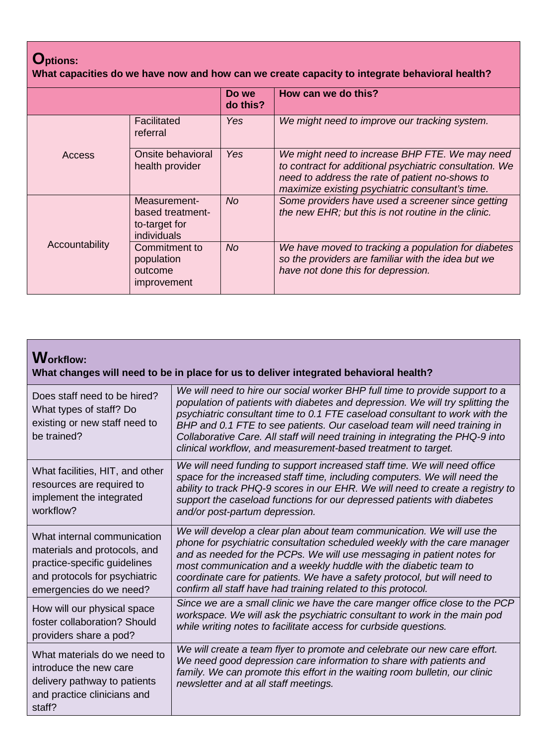## **Options:**

**What capacities do we have now and how can we create capacity to integrate behavioral health?**

|                                                                                                                                             |                                      | Do we<br>do this?                                                                                        | How can we do this?                                                                                                                                                                                              |
|---------------------------------------------------------------------------------------------------------------------------------------------|--------------------------------------|----------------------------------------------------------------------------------------------------------|------------------------------------------------------------------------------------------------------------------------------------------------------------------------------------------------------------------|
| Access                                                                                                                                      | Facilitated<br>referral              | Yes                                                                                                      | We might need to improve our tracking system.                                                                                                                                                                    |
|                                                                                                                                             | Onsite behavioral<br>health provider | Yes                                                                                                      | We might need to increase BHP FTE. We may need<br>to contract for additional psychiatric consultation. We<br>need to address the rate of patient no-shows to<br>maximize existing psychiatric consultant's time. |
| Measurement-<br>based treatment-<br>to-target for<br>individuals<br>Accountability<br>Commitment to<br>population<br>outcome<br>improvement | <b>No</b>                            | Some providers have used a screener since getting<br>the new EHR; but this is not routine in the clinic. |                                                                                                                                                                                                                  |
|                                                                                                                                             |                                      | No.                                                                                                      | We have moved to tracking a population for diabetes<br>so the providers are familiar with the idea but we<br>have not done this for depression.                                                                  |

| <b>Workflow:</b><br>What changes will need to be in place for us to deliver integrated behavioral health?                                               |                                                                                                                                                                                                                                                                                                                                                                                                                                                                              |  |
|---------------------------------------------------------------------------------------------------------------------------------------------------------|------------------------------------------------------------------------------------------------------------------------------------------------------------------------------------------------------------------------------------------------------------------------------------------------------------------------------------------------------------------------------------------------------------------------------------------------------------------------------|--|
| Does staff need to be hired?<br>What types of staff? Do<br>existing or new staff need to<br>be trained?                                                 | We will need to hire our social worker BHP full time to provide support to a<br>population of patients with diabetes and depression. We will try splitting the<br>psychiatric consultant time to 0.1 FTE caseload consultant to work with the<br>BHP and 0.1 FTE to see patients. Our caseload team will need training in<br>Collaborative Care. All staff will need training in integrating the PHQ-9 into<br>clinical workflow, and measurement-based treatment to target. |  |
| What facilities, HIT, and other<br>resources are required to<br>implement the integrated<br>workflow?                                                   | We will need funding to support increased staff time. We will need office<br>space for the increased staff time, including computers. We will need the<br>ability to track PHQ-9 scores in our EHR. We will need to create a registry to<br>support the caseload functions for our depressed patients with diabetes<br>and/or post-partum depression.                                                                                                                        |  |
| What internal communication<br>materials and protocols, and<br>practice-specific guidelines<br>and protocols for psychiatric<br>emergencies do we need? | We will develop a clear plan about team communication. We will use the<br>phone for psychiatric consultation scheduled weekly with the care manager<br>and as needed for the PCPs. We will use messaging in patient notes for<br>most communication and a weekly huddle with the diabetic team to<br>coordinate care for patients. We have a safety protocol, but will need to<br>confirm all staff have had training related to this protocol.                              |  |
| How will our physical space<br>foster collaboration? Should<br>providers share a pod?                                                                   | Since we are a small clinic we have the care manger office close to the PCP<br>workspace. We will ask the psychiatric consultant to work in the main pod<br>while writing notes to facilitate access for curbside questions.                                                                                                                                                                                                                                                 |  |
| What materials do we need to<br>introduce the new care<br>delivery pathway to patients<br>and practice clinicians and<br>staff?                         | We will create a team flyer to promote and celebrate our new care effort.<br>We need good depression care information to share with patients and<br>family. We can promote this effort in the waiting room bulletin, our clinic<br>newsletter and at all staff meetings.                                                                                                                                                                                                     |  |